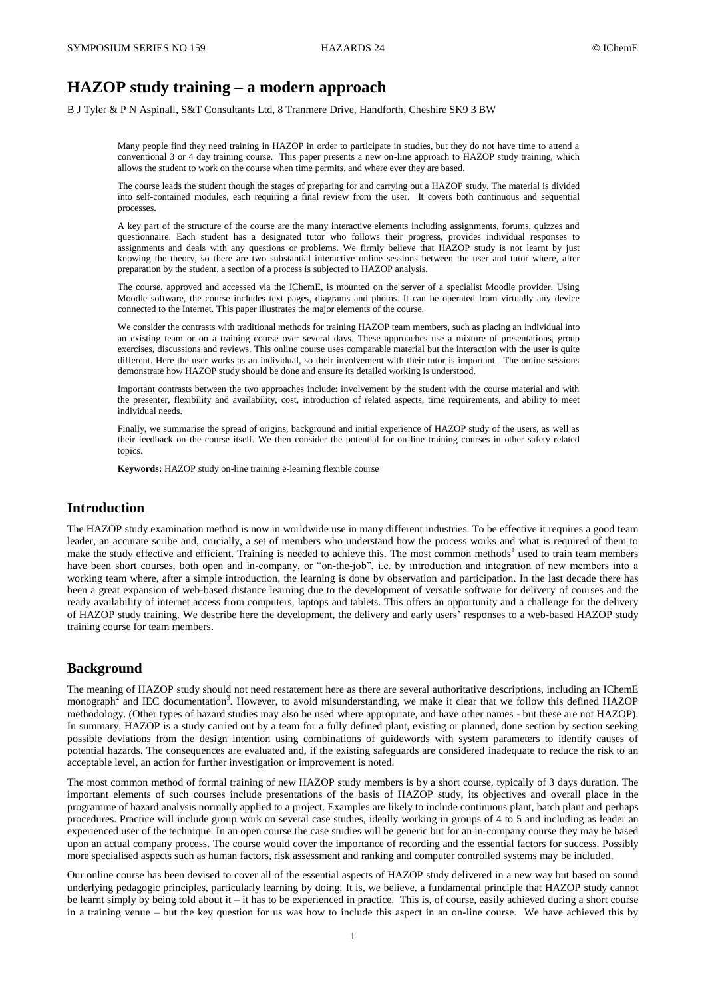# **HAZOP study training – a modern approach**

B J Tyler & P N Aspinall, S&T Consultants Ltd, 8 Tranmere Drive, Handforth, Cheshire SK9 3 BW

Many people find they need training in HAZOP in order to participate in studies, but they do not have time to attend a conventional 3 or 4 day training course. This paper presents a new on-line approach to HAZOP study training, which allows the student to work on the course when time permits, and where ever they are based.

The course leads the student though the stages of preparing for and carrying out a HAZOP study. The material is divided into self-contained modules, each requiring a final review from the user. It covers both continuous and sequential processes.

A key part of the structure of the course are the many interactive elements including assignments, forums, quizzes and questionnaire. Each student has a designated tutor who follows their progress, provides individual responses to assignments and deals with any questions or problems. We firmly believe that HAZOP study is not learnt by just knowing the theory, so there are two substantial interactive online sessions between the user and tutor where, after preparation by the student, a section of a process is subjected to HAZOP analysis.

The course, approved and accessed via the IChemE, is mounted on the server of a specialist Moodle provider. Using Moodle software, the course includes text pages, diagrams and photos. It can be operated from virtually any device connected to the Internet. This paper illustrates the major elements of the course.

We consider the contrasts with traditional methods for training HAZOP team members, such as placing an individual into an existing team or on a training course over several days. These approaches use a mixture of presentations, group exercises, discussions and reviews. This online course uses comparable material but the interaction with the user is quite different. Here the user works as an individual, so their involvement with their tutor is important. The online sessions demonstrate how HAZOP study should be done and ensure its detailed working is understood.

Important contrasts between the two approaches include: involvement by the student with the course material and with the presenter, flexibility and availability, cost, introduction of related aspects, time requirements, and ability to meet individual needs.

Finally, we summarise the spread of origins, background and initial experience of HAZOP study of the users, as well as their feedback on the course itself. We then consider the potential for on-line training courses in other safety related topics.

**Keywords:** HAZOP study on-line training e-learning flexible course

### **Introduction**

The HAZOP study examination method is now in worldwide use in many different industries. To be effective it requires a good team leader, an accurate scribe and, crucially, a set of members who understand how the process works and what is required of them to make the study effective and efficient. Training is needed to achieve this. The most common methods<sup>1</sup> used to train team members have been short courses, both open and in-company, or "on-the-job", i.e. by introduction and integration of new members into a working team where, after a simple introduction, the learning is done by observation and participation. In the last decade there has been a great expansion of web-based distance learning due to the development of versatile software for delivery of courses and the ready availability of internet access from computers, laptops and tablets. This offers an opportunity and a challenge for the delivery of HAZOP study training. We describe here the development, the delivery and early users' responses to a web-based HAZOP study training course for team members.

### **Background**

The meaning of HAZOP study should not need restatement here as there are several authoritative descriptions, including an IChemE monograph<sup>2</sup> and IEC documentation<sup>3</sup>. However, to avoid misunderstanding, we make it clear that we follow this defined HAZOP methodology. (Other types of hazard studies may also be used where appropriate, and have other names - but these are not HAZOP). In summary, HAZOP is a study carried out by a team for a fully defined plant, existing or planned, done section by section seeking possible deviations from the design intention using combinations of guidewords with system parameters to identify causes of potential hazards. The consequences are evaluated and, if the existing safeguards are considered inadequate to reduce the risk to an acceptable level, an action for further investigation or improvement is noted.

The most common method of formal training of new HAZOP study members is by a short course, typically of 3 days duration. The important elements of such courses include presentations of the basis of HAZOP study, its objectives and overall place in the programme of hazard analysis normally applied to a project. Examples are likely to include continuous plant, batch plant and perhaps procedures. Practice will include group work on several case studies, ideally working in groups of 4 to 5 and including as leader an experienced user of the technique. In an open course the case studies will be generic but for an in-company course they may be based upon an actual company process. The course would cover the importance of recording and the essential factors for success. Possibly more specialised aspects such as human factors, risk assessment and ranking and computer controlled systems may be included.

Our online course has been devised to cover all of the essential aspects of HAZOP study delivered in a new way but based on sound underlying pedagogic principles, particularly learning by doing. It is, we believe, a fundamental principle that HAZOP study cannot be learnt simply by being told about it – it has to be experienced in practice. This is, of course, easily achieved during a short course in a training venue – but the key question for us was how to include this aspect in an on-line course. We have achieved this by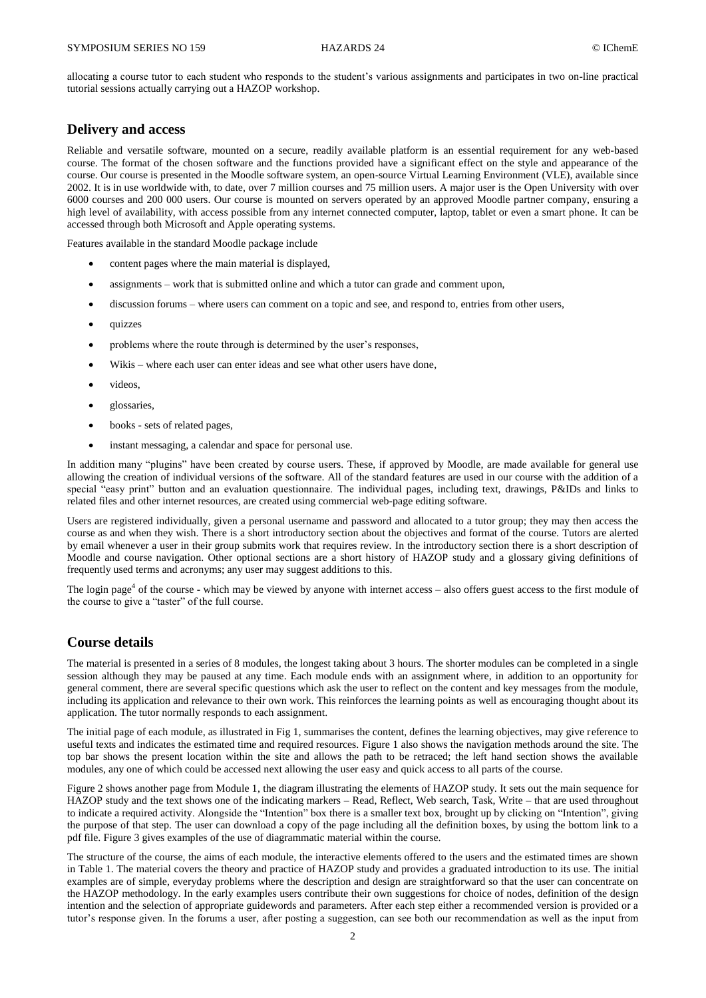allocating a course tutor to each student who responds to the student's various assignments and participates in two on-line practical tutorial sessions actually carrying out a HAZOP workshop.

#### **Delivery and access**

Reliable and versatile software, mounted on a secure, readily available platform is an essential requirement for any web-based course. The format of the chosen software and the functions provided have a significant effect on the style and appearance of the course. Our course is presented in the Moodle software system, an open-source Virtual Learning Environment (VLE), available since 2002. It is in use worldwide with, to date, over 7 million courses and 75 million users. A major user is the Open University with over 6000 courses and 200 000 users. Our course is mounted on servers operated by an approved Moodle partner company, ensuring a high level of availability, with access possible from any internet connected computer, laptop, tablet or even a smart phone. It can be accessed through both Microsoft and Apple operating systems.

Features available in the standard Moodle package include

- content pages where the main material is displayed,
- assignments work that is submitted online and which a tutor can grade and comment upon,
- discussion forums where users can comment on a topic and see, and respond to, entries from other users,
- quizzes
- problems where the route through is determined by the user's responses,
- Wikis where each user can enter ideas and see what other users have done,
- videos,
- glossaries,
- books sets of related pages,
- instant messaging, a calendar and space for personal use.

In addition many "plugins" have been created by course users. These, if approved by Moodle, are made available for general use allowing the creation of individual versions of the software. All of the standard features are used in our course with the addition of a special "easy print" button and an evaluation questionnaire. The individual pages, including text, drawings, P&IDs and links to related files and other internet resources, are created using commercial web-page editing software.

Users are registered individually, given a personal username and password and allocated to a tutor group; they may then access the course as and when they wish. There is a short introductory section about the objectives and format of the course. Tutors are alerted by email whenever a user in their group submits work that requires review. In the introductory section there is a short description of Moodle and course navigation. Other optional sections are a short history of HAZOP study and a glossary giving definitions of frequently used terms and acronyms; any user may suggest additions to this.

The login page<sup>4</sup> of the course - which may be viewed by anyone with internet access  $-$  also offers guest access to the first module of the course to give a "taster" of the full course.

# **Course details**

The material is presented in a series of 8 modules, the longest taking about 3 hours. The shorter modules can be completed in a single session although they may be paused at any time. Each module ends with an assignment where, in addition to an opportunity for general comment, there are several specific questions which ask the user to reflect on the content and key messages from the module, including its application and relevance to their own work. This reinforces the learning points as well as encouraging thought about its application. The tutor normally responds to each assignment.

The initial page of each module, as illustrated in Fig 1, summarises the content, defines the learning objectives, may give reference to useful texts and indicates the estimated time and required resources. Figure 1 also shows the navigation methods around the site. The top bar shows the present location within the site and allows the path to be retraced; the left hand section shows the available modules, any one of which could be accessed next allowing the user easy and quick access to all parts of the course.

Figure 2 shows another page from Module 1, the diagram illustrating the elements of HAZOP study. It sets out the main sequence for HAZOP study and the text shows one of the indicating markers – Read, Reflect, Web search, Task, Write – that are used throughout to indicate a required activity. Alongside the "Intention" box there is a smaller text box, brought up by clicking on "Intention", giving the purpose of that step. The user can download a copy of the page including all the definition boxes, by using the bottom link to a pdf file. Figure 3 gives examples of the use of diagrammatic material within the course.

The structure of the course, the aims of each module, the interactive elements offered to the users and the estimated times are shown in Table 1. The material covers the theory and practice of HAZOP study and provides a graduated introduction to its use. The initial examples are of simple, everyday problems where the description and design are straightforward so that the user can concentrate on the HAZOP methodology. In the early examples users contribute their own suggestions for choice of nodes, definition of the design intention and the selection of appropriate guidewords and parameters. After each step either a recommended version is provided or a tutor's response given. In the forums a user, after posting a suggestion, can see both our recommendation as well as the input from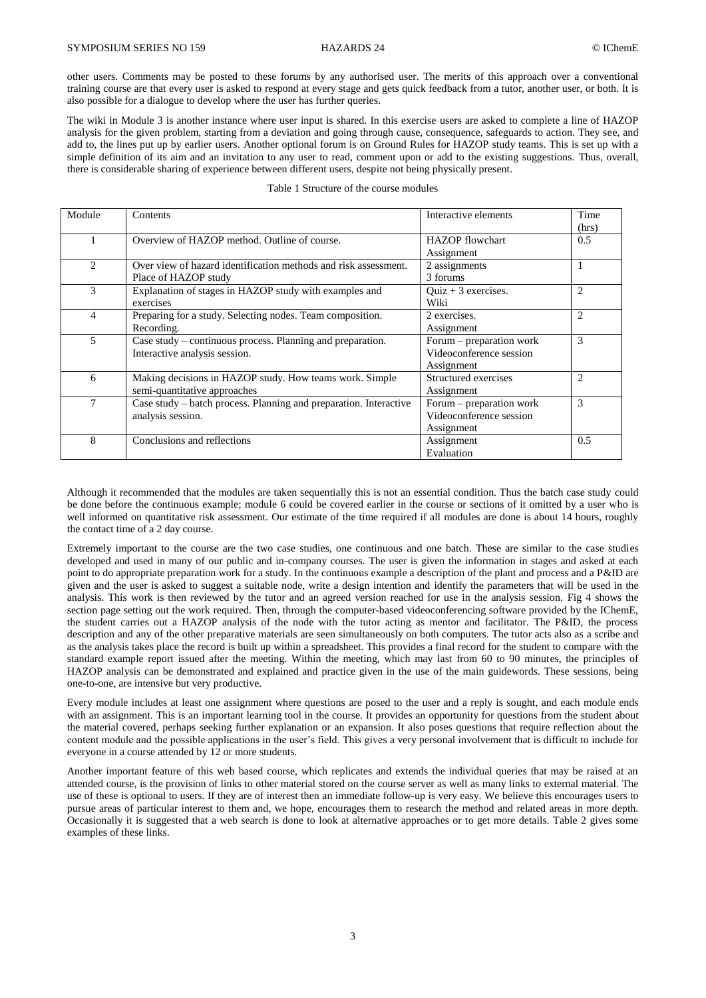other users. Comments may be posted to these forums by any authorised user. The merits of this approach over a conventional training course are that every user is asked to respond at every stage and gets quick feedback from a tutor, another user, or both. It is also possible for a dialogue to develop where the user has further queries.

The wiki in Module 3 is another instance where user input is shared. In this exercise users are asked to complete a line of HAZOP analysis for the given problem, starting from a deviation and going through cause, consequence, safeguards to action. They see, and add to, the lines put up by earlier users. Another optional forum is on Ground Rules for HAZOP study teams. This is set up with a simple definition of its aim and an invitation to any user to read, comment upon or add to the existing suggestions. Thus, overall, there is considerable sharing of experience between different users, despite not being physically present.

| Module                      | Contents                                                                                    | Interactive elements                                              | Time           |
|-----------------------------|---------------------------------------------------------------------------------------------|-------------------------------------------------------------------|----------------|
|                             | Overview of HAZOP method. Outline of course.                                                | <b>HAZOP</b> flowchart<br>Assignment                              | (hrs)<br>0.5   |
| $\mathcal{D}_{\mathcal{L}}$ | Over view of hazard identification methods and risk assessment.<br>Place of HAZOP study     | 2 assignments<br>3 forums                                         |                |
| 3                           | Explanation of stages in HAZOP study with examples and<br>exercises                         | $Quiz + 3$ exercises.<br>Wiki                                     | $\overline{c}$ |
| 4                           | Preparing for a study. Selecting nodes. Team composition.<br>Recording.                     | 2 exercises.<br>Assignment                                        | $\overline{c}$ |
| 5                           | Case study – continuous process. Planning and preparation.<br>Interactive analysis session. | Forum - preparation work<br>Videoconference session<br>Assignment | 3              |
| 6                           | Making decisions in HAZOP study. How teams work. Simple<br>semi-quantitative approaches     | Structured exercises<br>Assignment                                | $\mathfrak{D}$ |
| 7                           | Case study – batch process. Planning and preparation. Interactive<br>analysis session.      | Forum – preparation work<br>Videoconference session<br>Assignment | 3              |
| 8                           | Conclusions and reflections                                                                 | Assignment<br>Evaluation                                          | 0.5            |

Although it recommended that the modules are taken sequentially this is not an essential condition. Thus the batch case study could be done before the continuous example; module 6 could be covered earlier in the course or sections of it omitted by a user who is well informed on quantitative risk assessment. Our estimate of the time required if all modules are done is about 14 hours, roughly the contact time of a 2 day course.

Extremely important to the course are the two case studies, one continuous and one batch. These are similar to the case studies developed and used in many of our public and in-company courses. The user is given the information in stages and asked at each point to do appropriate preparation work for a study. In the continuous example a description of the plant and process and a P&ID are given and the user is asked to suggest a suitable node, write a design intention and identify the parameters that will be used in the analysis. This work is then reviewed by the tutor and an agreed version reached for use in the analysis session. Fig 4 shows the section page setting out the work required. Then, through the computer-based videoconferencing software provided by the IChemE, the student carries out a HAZOP analysis of the node with the tutor acting as mentor and facilitator. The P&ID, the process description and any of the other preparative materials are seen simultaneously on both computers. The tutor acts also as a scribe and as the analysis takes place the record is built up within a spreadsheet. This provides a final record for the student to compare with the standard example report issued after the meeting. Within the meeting, which may last from 60 to 90 minutes, the principles of HAZOP analysis can be demonstrated and explained and practice given in the use of the main guidewords. These sessions, being one-to-one, are intensive but very productive.

Every module includes at least one assignment where questions are posed to the user and a reply is sought, and each module ends with an assignment. This is an important learning tool in the course. It provides an opportunity for questions from the student about the material covered, perhaps seeking further explanation or an expansion. It also poses questions that require reflection about the content module and the possible applications in the user's field. This gives a very personal involvement that is difficult to include for everyone in a course attended by 12 or more students.

Another important feature of this web based course, which replicates and extends the individual queries that may be raised at an attended course, is the provision of links to other material stored on the course server as well as many links to external material. The use of these is optional to users. If they are of interest then an immediate follow-up is very easy. We believe this encourages users to pursue areas of particular interest to them and, we hope, encourages them to research the method and related areas in more depth. Occasionally it is suggested that a web search is done to look at alternative approaches or to get more details. Table 2 gives some examples of these links.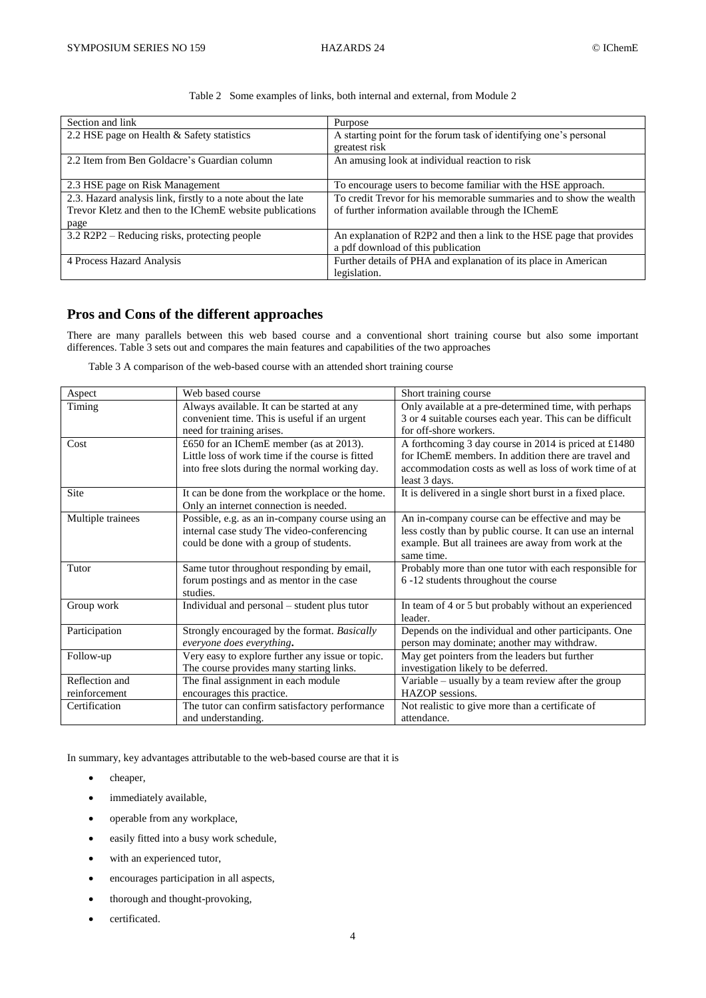| Section and link                                            | Purpose                                                              |  |
|-------------------------------------------------------------|----------------------------------------------------------------------|--|
| 2.2 HSE page on Health & Safety statistics                  | A starting point for the forum task of identifying one's personal    |  |
|                                                             | greatest risk                                                        |  |
| 2.2 Item from Ben Goldacre's Guardian column                | An amusing look at individual reaction to risk                       |  |
|                                                             |                                                                      |  |
| 2.3 HSE page on Risk Management                             | To encourage users to become familiar with the HSE approach.         |  |
| 2.3. Hazard analysis link, firstly to a note about the late | To credit Trevor for his memorable summaries and to show the wealth  |  |
| Trevor Kletz and then to the IChemE website publications    | of further information available through the IChemE                  |  |
| page                                                        |                                                                      |  |
| 3.2 R2P2 – Reducing risks, protecting people                | An explanation of R2P2 and then a link to the HSE page that provides |  |
|                                                             | a pdf download of this publication                                   |  |
| 4 Process Hazard Analysis                                   | Further details of PHA and explanation of its place in American      |  |
|                                                             | legislation.                                                         |  |

Table 2 Some examples of links, both internal and external, from Module 2

# **Pros and Cons of the different approaches**

There are many parallels between this web based course and a conventional short training course but also some important differences. Table 3 sets out and compares the main features and capabilities of the two approaches

Table 3 A comparison of the web-based course with an attended short training course

| Aspect                          | Web based course                                                                                                                              | Short training course                                                                                                                                                                    |
|---------------------------------|-----------------------------------------------------------------------------------------------------------------------------------------------|------------------------------------------------------------------------------------------------------------------------------------------------------------------------------------------|
| Timing                          | Always available. It can be started at any<br>convenient time. This is useful if an urgent<br>need for training arises.                       | Only available at a pre-determined time, with perhaps<br>3 or 4 suitable courses each year. This can be difficult<br>for off-shore workers.                                              |
| Cost                            | £650 for an IChemE member (as at 2013).<br>Little loss of work time if the course is fitted<br>into free slots during the normal working day. | A forthcoming 3 day course in 2014 is priced at £1480<br>for IChemE members. In addition there are travel and<br>accommodation costs as well as loss of work time of at<br>least 3 days. |
| Site                            | It can be done from the workplace or the home.<br>Only an internet connection is needed.                                                      | It is delivered in a single short burst in a fixed place.                                                                                                                                |
| Multiple trainees               | Possible, e.g. as an in-company course using an<br>internal case study The video-conferencing<br>could be done with a group of students.      | An in-company course can be effective and may be<br>less costly than by public course. It can use an internal<br>example. But all trainees are away from work at the<br>same time.       |
| Tutor                           | Same tutor throughout responding by email,<br>forum postings and as mentor in the case<br>studies.                                            | Probably more than one tutor with each responsible for<br>6 -12 students throughout the course                                                                                           |
| Group work                      | Individual and personal – student plus tutor                                                                                                  | In team of 4 or 5 but probably without an experienced<br>leader.                                                                                                                         |
| Participation                   | Strongly encouraged by the format. Basically<br>everyone does everything.                                                                     | Depends on the individual and other participants. One<br>person may dominate; another may withdraw.                                                                                      |
| Follow-up                       | Very easy to explore further any issue or topic.<br>The course provides many starting links.                                                  | May get pointers from the leaders but further<br>investigation likely to be deferred.                                                                                                    |
| Reflection and<br>reinforcement | The final assignment in each module<br>encourages this practice.                                                                              | Variable – usually by a team review after the group<br>HAZOP sessions.                                                                                                                   |
| Certification                   | The tutor can confirm satisfactory performance<br>and understanding.                                                                          | Not realistic to give more than a certificate of<br>attendance.                                                                                                                          |

In summary, key advantages attributable to the web-based course are that it is

- cheaper,
- immediately available,
- operable from any workplace,
- easily fitted into a busy work schedule,
- with an experienced tutor,
- encourages participation in all aspects,
- thorough and thought-provoking,
- certificated.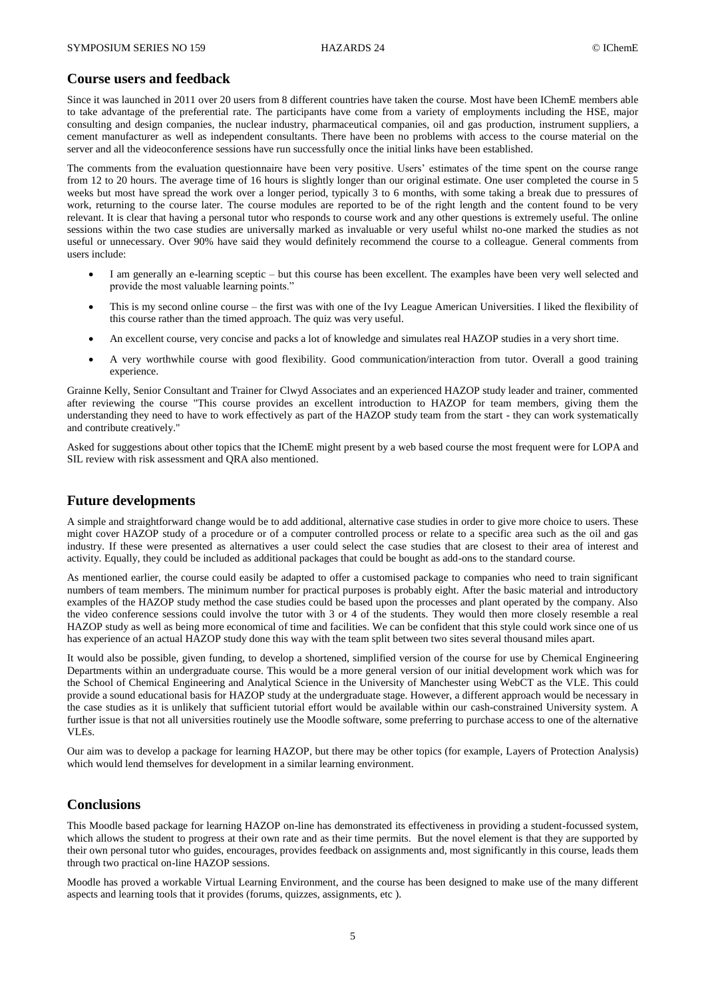#### **Course users and feedback**

Since it was launched in 2011 over 20 users from 8 different countries have taken the course. Most have been IChemE members able to take advantage of the preferential rate. The participants have come from a variety of employments including the HSE, major consulting and design companies, the nuclear industry, pharmaceutical companies, oil and gas production, instrument suppliers, a cement manufacturer as well as independent consultants. There have been no problems with access to the course material on the server and all the videoconference sessions have run successfully once the initial links have been established.

The comments from the evaluation questionnaire have been very positive. Users' estimates of the time spent on the course range from 12 to 20 hours. The average time of 16 hours is slightly longer than our original estimate. One user completed the course in 5 weeks but most have spread the work over a longer period, typically 3 to 6 months, with some taking a break due to pressures of work, returning to the course later. The course modules are reported to be of the right length and the content found to be very relevant. It is clear that having a personal tutor who responds to course work and any other questions is extremely useful. The online sessions within the two case studies are universally marked as invaluable or very useful whilst no-one marked the studies as not useful or unnecessary. Over 90% have said they would definitely recommend the course to a colleague. General comments from users include:

- I am generally an e-learning sceptic but this course has been excellent. The examples have been very well selected and provide the most valuable learning points."
- This is my second online course the first was with one of the Ivy League American Universities. I liked the flexibility of this course rather than the timed approach. The quiz was very useful.
- An excellent course, very concise and packs a lot of knowledge and simulates real HAZOP studies in a very short time.
- A very worthwhile course with good flexibility. Good communication/interaction from tutor. Overall a good training experience.

Grainne Kelly, Senior Consultant and Trainer for Clwyd Associates and an experienced HAZOP study leader and trainer, commented after reviewing the course "This course provides an excellent introduction to HAZOP for team members, giving them the understanding they need to have to work effectively as part of the HAZOP study team from the start - they can work systematically and contribute creatively."

Asked for suggestions about other topics that the IChemE might present by a web based course the most frequent were for LOPA and SIL review with risk assessment and QRA also mentioned.

### **Future developments**

A simple and straightforward change would be to add additional, alternative case studies in order to give more choice to users. These might cover HAZOP study of a procedure or of a computer controlled process or relate to a specific area such as the oil and gas industry. If these were presented as alternatives a user could select the case studies that are closest to their area of interest and activity. Equally, they could be included as additional packages that could be bought as add-ons to the standard course.

As mentioned earlier, the course could easily be adapted to offer a customised package to companies who need to train significant numbers of team members. The minimum number for practical purposes is probably eight. After the basic material and introductory examples of the HAZOP study method the case studies could be based upon the processes and plant operated by the company. Also the video conference sessions could involve the tutor with 3 or 4 of the students. They would then more closely resemble a real HAZOP study as well as being more economical of time and facilities. We can be confident that this style could work since one of us has experience of an actual HAZOP study done this way with the team split between two sites several thousand miles apart.

It would also be possible, given funding, to develop a shortened, simplified version of the course for use by Chemical Engineering Departments within an undergraduate course. This would be a more general version of our initial development work which was for the School of Chemical Engineering and Analytical Science in the University of Manchester using WebCT as the VLE. This could provide a sound educational basis for HAZOP study at the undergraduate stage. However, a different approach would be necessary in the case studies as it is unlikely that sufficient tutorial effort would be available within our cash-constrained University system. A further issue is that not all universities routinely use the Moodle software, some preferring to purchase access to one of the alternative VLEs.

Our aim was to develop a package for learning HAZOP, but there may be other topics (for example, Layers of Protection Analysis) which would lend themselves for development in a similar learning environment.

### **Conclusions**

This Moodle based package for learning HAZOP on-line has demonstrated its effectiveness in providing a student-focussed system, which allows the student to progress at their own rate and as their time permits. But the novel element is that they are supported by their own personal tutor who guides, encourages, provides feedback on assignments and, most significantly in this course, leads them through two practical on-line HAZOP sessions.

Moodle has proved a workable Virtual Learning Environment, and the course has been designed to make use of the many different aspects and learning tools that it provides (forums, quizzes, assignments, etc ).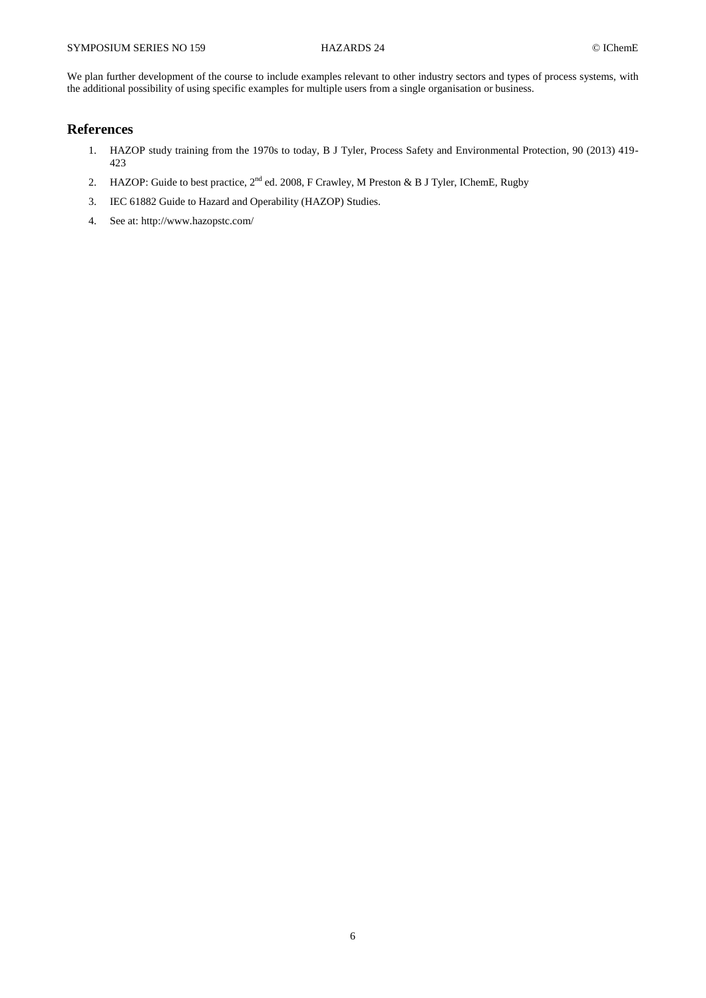We plan further development of the course to include examples relevant to other industry sectors and types of process systems, with the additional possibility of using specific examples for multiple users from a single organisation or business.

## **References**

- 1. HAZOP study training from the 1970s to today, B J Tyler, Process Safety and Environmental Protection, 90 (2013) 419- 423
- 2. HAZOP: Guide to best practice,  $2^{nd}$  ed. 2008, F Crawley, M Preston & B J Tyler, IChemE, Rugby
- 3. IEC 61882 Guide to Hazard and Operability (HAZOP) Studies.
- 4. See at: http://www.hazopstc.com/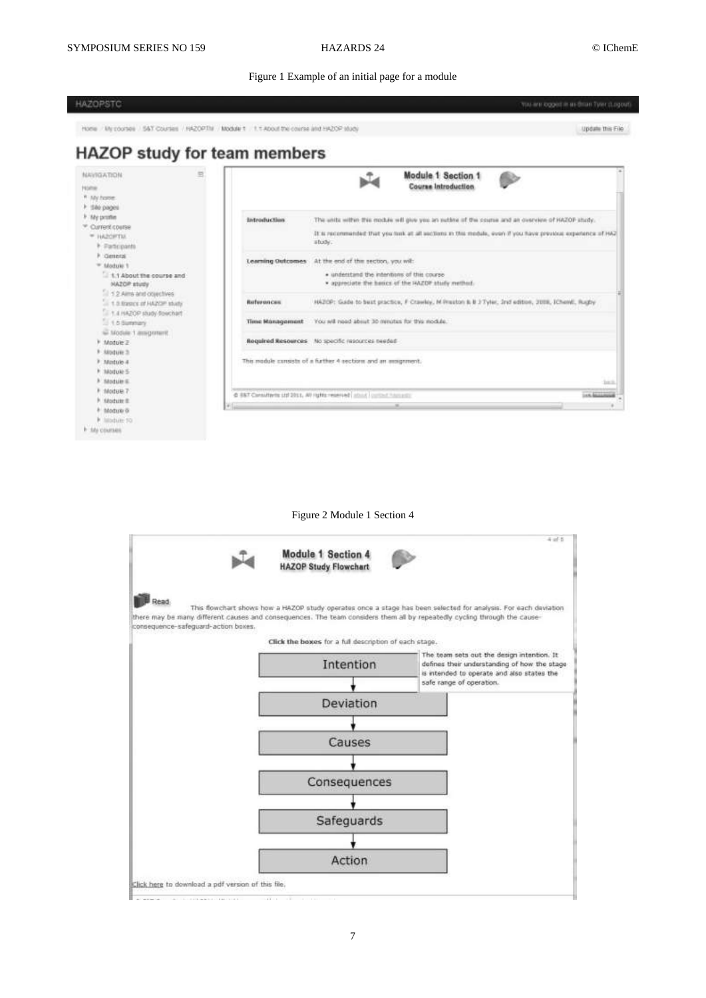#### Figure 1 Example of an initial page for a module



#### Figure 2 Module 1 Section 4